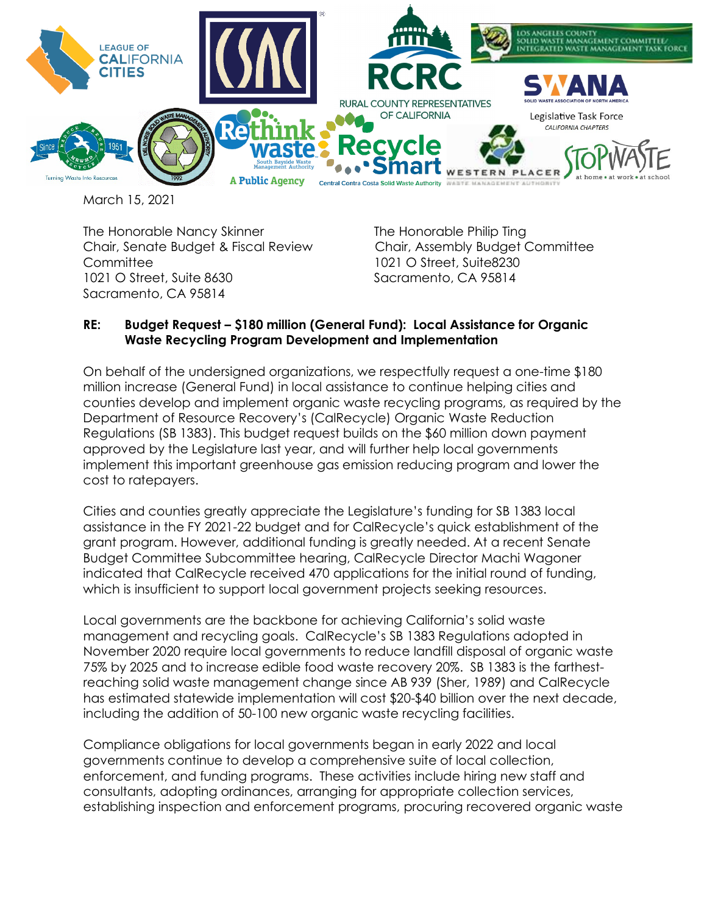

March 15, 2021

The Honorable Nancy Skinner The Honorable Philip Ting Chair, Senate Budget & Fiscal Review Chair, Assembly Budget Committee Committee 1021 O Street, Suite8230 1021 O Street, Suite 8630 Sacramento, CA 95814 Sacramento, CA 95814

## **RE: Budget Request – \$180 million (General Fund): Local Assistance for Organic Waste Recycling Program Development and Implementation**

On behalf of the undersigned organizations, we respectfully request a one-time \$180 million increase (General Fund) in local assistance to continue helping cities and counties develop and implement organic waste recycling programs, as required by the Department of Resource Recovery's (CalRecycle) Organic Waste Reduction Regulations (SB 1383). This budget request builds on the \$60 million down payment approved by the Legislature last year, and will further help local governments implement this important greenhouse gas emission reducing program and lower the cost to ratepayers.

Cities and counties greatly appreciate the Legislature's funding for SB 1383 local assistance in the FY 2021-22 budget and for CalRecycle's quick establishment of the grant program. However, additional funding is greatly needed. At a recent Senate Budget Committee Subcommittee hearing, CalRecycle Director Machi Wagoner indicated that CalRecycle received 470 applications for the initial round of funding, which is insufficient to support local government projects seeking resources.

Local governments are the backbone for achieving California's solid waste management and recycling goals. CalRecycle's SB 1383 Regulations adopted in November 2020 require local governments to reduce landfill disposal of organic waste 75% by 2025 and to increase edible food waste recovery 20%. SB 1383 is the farthestreaching solid waste management change since AB 939 (Sher, 1989) and CalRecycle has estimated statewide implementation will cost \$20-\$40 billion over the next decade, including the addition of 50-100 new organic waste recycling facilities.

Compliance obligations for local governments began in early 2022 and local governments continue to develop a comprehensive suite of local collection, enforcement, and funding programs. These activities include hiring new staff and consultants, adopting ordinances, arranging for appropriate collection services, establishing inspection and enforcement programs, procuring recovered organic waste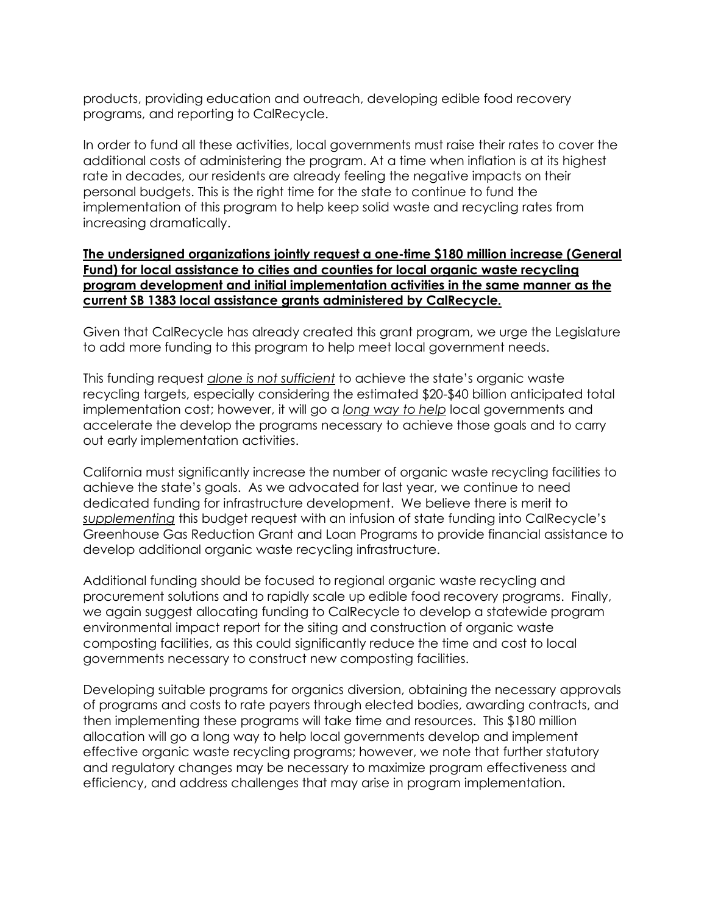products, providing education and outreach, developing edible food recovery programs, and reporting to CalRecycle.

In order to fund all these activities, local governments must raise their rates to cover the additional costs of administering the program. At a time when inflation is at its highest rate in decades, our residents are already feeling the negative impacts on their personal budgets. This is the right time for the state to continue to fund the implementation of this program to help keep solid waste and recycling rates from increasing dramatically.

## **The undersigned organizations jointly request a one-time \$180 million increase (General Fund) for local assistance to cities and counties for local organic waste recycling program development and initial implementation activities in the same manner as the current SB 1383 local assistance grants administered by CalRecycle.**

Given that CalRecycle has already created this grant program, we urge the Legislature to add more funding to this program to help meet local government needs.

This funding request *alone is not sufficient* to achieve the state's organic waste recycling targets, especially considering the estimated \$20-\$40 billion anticipated total implementation cost; however, it will go a *long way to help* local governments and accelerate the develop the programs necessary to achieve those goals and to carry out early implementation activities.

California must significantly increase the number of organic waste recycling facilities to achieve the state's goals. As we advocated for last year, we continue to need dedicated funding for infrastructure development. We believe there is merit to *supplementing* this budget request with an infusion of state funding into CalRecycle's Greenhouse Gas Reduction Grant and Loan Programs to provide financial assistance to develop additional organic waste recycling infrastructure.

Additional funding should be focused to regional organic waste recycling and procurement solutions and to rapidly scale up edible food recovery programs. Finally, we again suggest allocating funding to CalRecycle to develop a statewide program environmental impact report for the siting and construction of organic waste composting facilities, as this could significantly reduce the time and cost to local governments necessary to construct new composting facilities.

Developing suitable programs for organics diversion, obtaining the necessary approvals of programs and costs to rate payers through elected bodies, awarding contracts, and then implementing these programs will take time and resources. This \$180 million allocation will go a long way to help local governments develop and implement effective organic waste recycling programs; however, we note that further statutory and regulatory changes may be necessary to maximize program effectiveness and efficiency, and address challenges that may arise in program implementation.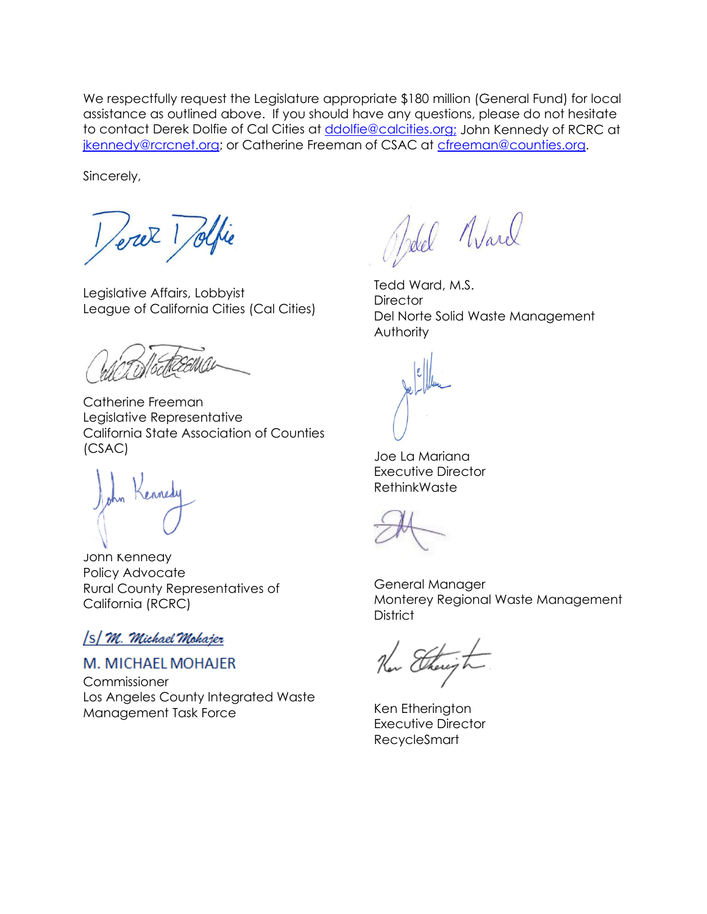We respectfully request the Legislature appropriate \$180 million (General Fund) for local assistance as outlined above. If you should have any questions, please do not hesitate to contact Derek Dolfie of Cal Cities at [ddolfie@calcities.org;](mailto:ddolfie@calcities.org) John Kennedy of RCRC at [jkennedy@rcrcnet.org;](mailto:jkennedy@rcrcnet.org) or Catherine Freeman of CSAC at [cfreeman@counties.org.](mailto:cfreeman@counties.org)

Sincerely,

Veret 1 Selfie

Legislative Affairs, Lobbyist League of California Cities (Cal Cities)

Catherine Freeman Legislative Representative California State Association of Counties (CSAC)

John Kennedy Policy Advocate Rural County Representatives of California (RCRC)

## [S] M. Michael Mohajer

**M. MICHAEL MOHAJER** 

**Commissioner** Los Angeles County Integrated Waste Management Task Force

Jelel Ward

Tedd Ward, M.S. **Director** Del Norte Solid Waste Management **Authority** 

Joe La Mariana Executive Director RethinkWaste

General Manager Monterey Regional Waste Management **District** 

Then there of the

Ken Etherington Executive Director RecycleSmart